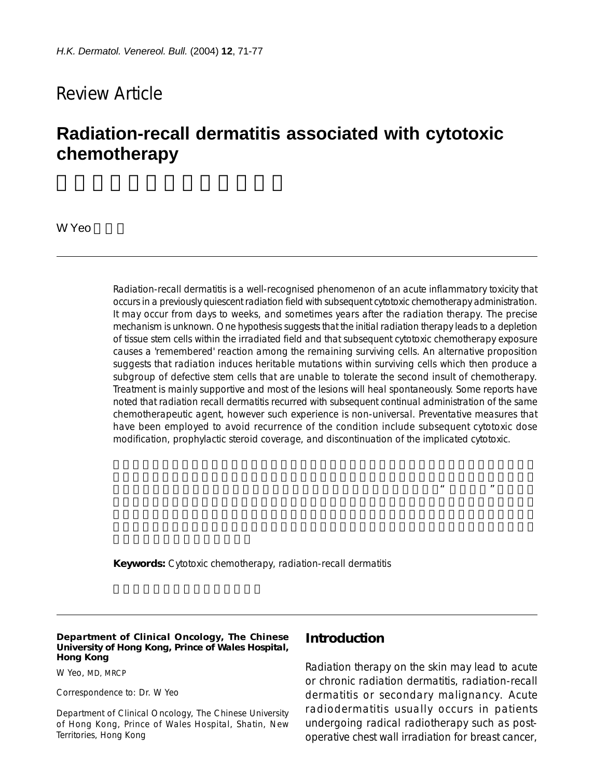# Review Article

# **Radiation-recall dermatitis associated with cytotoxic chemotherapy**

W Yeo

Radiation-recall dermatitis is a well-recognised phenomenon of an acute inflammatory toxicity that occurs in a previously quiescent radiation field with subsequent cytotoxic chemotherapy administration. It may occur from days to weeks, and sometimes years after the radiation therapy. The precise mechanism is unknown. One hypothesis suggests that the initial radiation therapy leads to a depletion of tissue stem cells within the irradiated field and that subsequent cytotoxic chemotherapy exposure causes a 'remembered' reaction among the remaining surviving cells. An alternative proposition suggests that radiation induces heritable mutations within surviving cells which then produce a subgroup of defective stem cells that are unable to tolerate the second insult of chemotherapy. Treatment is mainly supportive and most of the lesions will heal spontaneously. Some reports have noted that radiation recall dermatitis recurred with subsequent continual administration of the same chemotherapeutic agent, however such experience is non-universal. Preventative measures that have been employed to avoid recurrence of the condition include subsequent cytotoxic dose modification, prophylactic steroid coverage, and discontinuation of the implicated cytotoxic.

 $49.1$ 

**Keywords:** Cytotoxic chemotherapy, radiation-recall dermatitis

#### **Department of Clinical Oncology, The Chinese University of Hong Kong, Prince of Wales Hospital, Hong Kong**

W Yeo, MD, MRCP

Correspondence to: Dr. W Yeo

Department of Clinical Oncology, The Chinese University of Hong Kong, Prince of Wales Hospital, Shatin, New Territories, Hong Kong

#### **Introduction**

Radiation therapy on the skin may lead to acute or chronic radiation dermatitis, radiation-recall dermatitis or secondary malignancy. Acute radiodermatitis usually occurs in patients undergoing radical radiotherapy such as postoperative chest wall irradiation for breast cancer,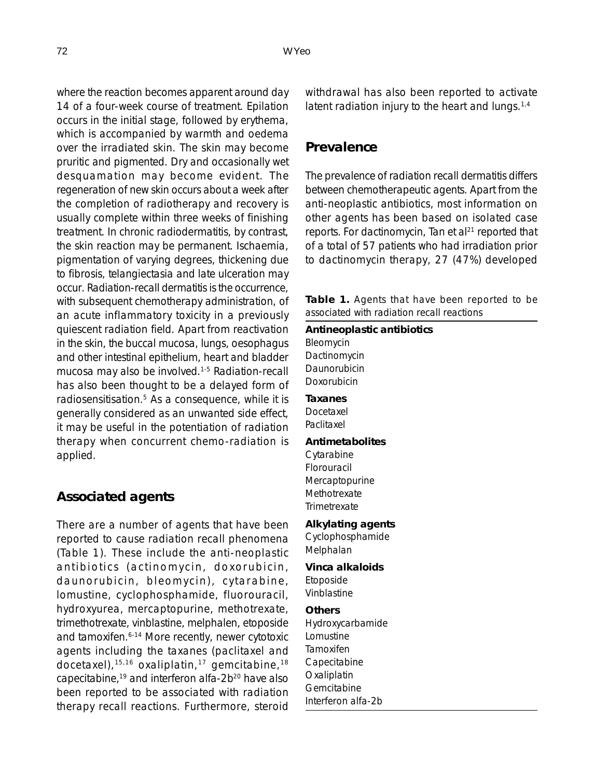where the reaction becomes apparent around day 14 of a four-week course of treatment. Epilation occurs in the initial stage, followed by erythema, which is accompanied by warmth and oedema over the irradiated skin. The skin may become pruritic and pigmented. Dry and occasionally wet desquamation may become evident. The regeneration of new skin occurs about a week after the completion of radiotherapy and recovery is usually complete within three weeks of finishing treatment. In chronic radiodermatitis, by contrast, the skin reaction may be permanent. Ischaemia, pigmentation of varying degrees, thickening due to fibrosis, telangiectasia and late ulceration may occur. Radiation-recall dermatitis is the occurrence, with subsequent chemotherapy administration, of an acute inflammatory toxicity in a previously quiescent radiation field. Apart from reactivation in the skin, the buccal mucosa, lungs, oesophagus and other intestinal epithelium, heart and bladder mucosa may also be involved.1-5 Radiation-recall has also been thought to be a delayed form of radiosensitisation.5 As a consequence, while it is generally considered as an unwanted side effect, it may be useful in the potentiation of radiation therapy when concurrent chemo-radiation is applied.

#### **Associated agents**

There are a number of agents that have been reported to cause radiation recall phenomena (Table 1). These include the anti-neoplastic antibiotics (actinomycin, doxorubicin, daunorubicin, bleomycin), cytarabine, lomustine, cyclophosphamide, fluorouracil, hydroxyurea, mercaptopurine, methotrexate, trimethotrexate, vinblastine, melphalen, etoposide and tamoxifen.<sup>6-14</sup> More recently, newer cytotoxic agents including the taxanes (paclitaxel and docetaxel),15,16 oxaliplatin,17 gemcitabine,18 capecitabine,<sup>19</sup> and interferon alfa-2b<sup>20</sup> have also been reported to be associated with radiation therapy recall reactions. Furthermore, steroid withdrawal has also been reported to activate latent radiation injury to the heart and lungs.<sup>1,4</sup>

### **Prevalence**

The prevalence of radiation recall dermatitis differs between chemotherapeutic agents. Apart from the anti-neoplastic antibiotics, most information on other agents has been based on isolated case reports. For dactinomycin, Tan et al<sup>21</sup> reported that of a total of 57 patients who had irradiation prior to dactinomycin therapy, 27 (47%) developed

**Table 1.** Agents that have been reported to be associated with radiation recall reactions

#### **Antineoplastic antibiotics**

Bleomycin Dactinomycin **Daunorubicin** Doxorubicin

# **Taxanes**

Docetaxel Paclitaxel

#### **Antimetabolites**

Cytarabine Florouracil Mercaptopurine Methotrexate **Trimetrexate** 

#### **Alkylating agents**

Cyclophosphamide Melphalan

# **Vinca alkaloids**

Etoposide Vinblastine

#### **Others**

Hydroxycarbamide Lomustine Tamoxifen Capecitabine **Oxaliplatin Gemcitabine** Interferon alfa-2b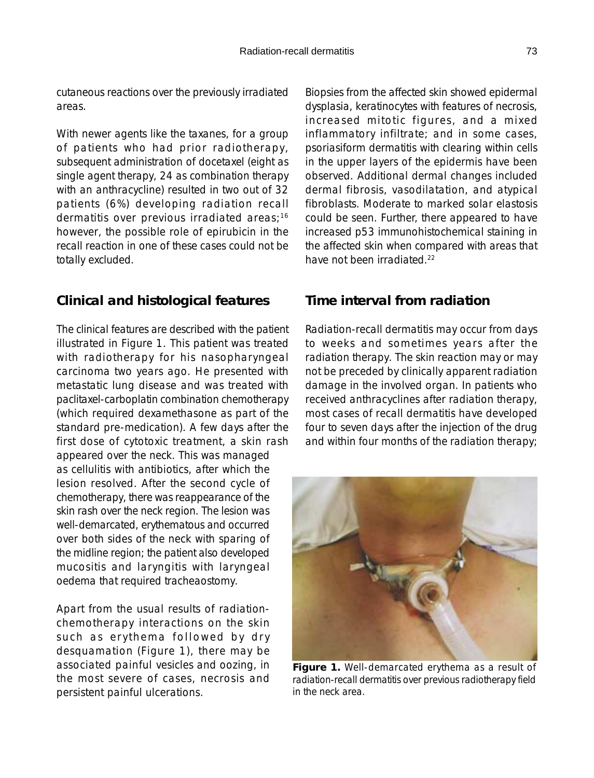cutaneous reactions over the previously irradiated areas.

With newer agents like the taxanes, for a group of patients who had prior radiotherapy, subsequent administration of docetaxel (eight as single agent therapy, 24 as combination therapy with an anthracycline) resulted in two out of 32 patients (6%) developing radiation recall dermatitis over previous irradiated areas;<sup>16</sup> however, the possible role of epirubicin in the recall reaction in one of these cases could not be totally excluded.

# **Clinical and histological features**

The clinical features are described with the patient illustrated in Figure 1. This patient was treated with radiotherapy for his nasopharyngeal carcinoma two years ago. He presented with metastatic lung disease and was treated with paclitaxel-carboplatin combination chemotherapy (which required dexamethasone as part of the standard pre-medication). A few days after the first dose of cytotoxic treatment, a skin rash appeared over the neck. This was managed as cellulitis with antibiotics, after which the lesion resolved. After the second cycle of chemotherapy, there was reappearance of the skin rash over the neck region. The lesion was well-demarcated, erythematous and occurred over both sides of the neck with sparing of the midline region; the patient also developed mucositis and laryngitis with laryngeal oedema that required tracheaostomy.

Apart from the usual results of radiationchemotherapy interactions on the skin such as erythema followed by dry desquamation (Figure 1), there may be associated painful vesicles and oozing, in the most severe of cases, necrosis and persistent painful ulcerations.

Biopsies from the affected skin showed epidermal dysplasia, keratinocytes with features of necrosis, increased mitotic figures, and a mixed inflammatory infiltrate; and in some cases, psoriasiform dermatitis with clearing within cells in the upper layers of the epidermis have been observed. Additional dermal changes included dermal fibrosis, vasodilatation, and atypical fibroblasts. Moderate to marked solar elastosis could be seen. Further, there appeared to have increased p53 immunohistochemical staining in the affected skin when compared with areas that have not been irradiated.<sup>22</sup>

### **Time interval from radiation**

Radiation-recall dermatitis may occur from days to weeks and sometimes years after the radiation therapy. The skin reaction may or may not be preceded by clinically apparent radiation damage in the involved organ. In patients who received anthracyclines after radiation therapy, most cases of recall dermatitis have developed four to seven days after the injection of the drug and within four months of the radiation therapy;



radiation-recall dermatitis over previous radiotherapy field in the neck area.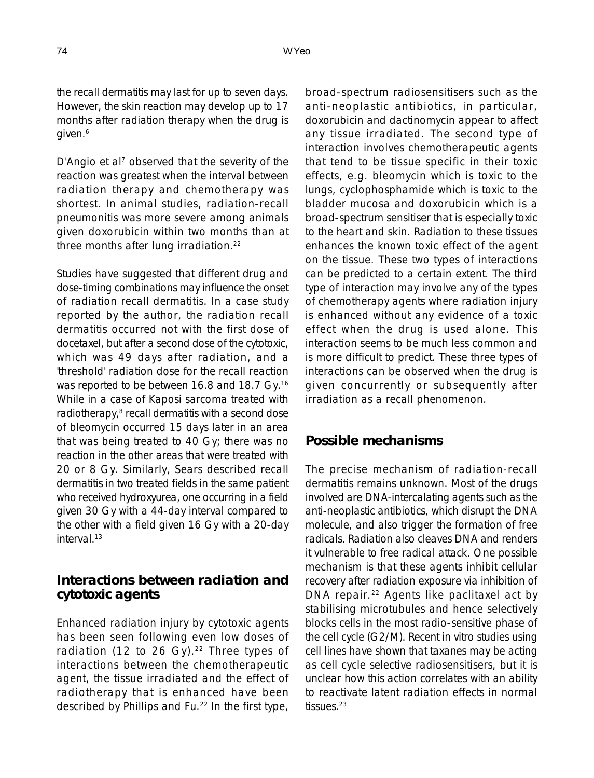the recall dermatitis may last for up to seven days. However, the skin reaction may develop up to 17 months after radiation therapy when the drug is given.<sup>6</sup>

D'Angio et al<sup>7</sup> observed that the severity of the reaction was greatest when the interval between radiation therapy and chemotherapy was shortest. In animal studies, radiation-recall pneumonitis was more severe among animals given doxorubicin within two months than at three months after lung irradiation.<sup>22</sup>

Studies have suggested that different drug and dose-timing combinations may influence the onset of radiation recall dermatitis. In a case study reported by the author, the radiation recall dermatitis occurred not with the first dose of docetaxel, but after a second dose of the cytotoxic, which was 49 days after radiation, and a 'threshold' radiation dose for the recall reaction was reported to be between 16.8 and 18.7 Gy.<sup>16</sup> While in a case of Kaposi sarcoma treated with radiotherapy,<sup>8</sup> recall dermatitis with a second dose of bleomycin occurred 15 days later in an area that was being treated to 40 Gy; there was no reaction in the other areas that were treated with 20 or 8 Gy. Similarly, Sears described recall dermatitis in two treated fields in the same patient who received hydroxyurea, one occurring in a field given 30 Gy with a 44-day interval compared to the other with a field given 16 Gy with a 20-day interval.13

#### **Interactions between radiation and cytotoxic agents**

Enhanced radiation injury by cytotoxic agents has been seen following even low doses of radiation (12 to 26 Gy).<sup>22</sup> Three types of interactions between the chemotherapeutic agent, the tissue irradiated and the effect of radiotherapy that is enhanced have been described by Phillips and Fu.22 In the first type, broad-spectrum radiosensitisers such as the anti-neoplastic antibiotics, in particular, doxorubicin and dactinomycin appear to affect any tissue irradiated. The second type of interaction involves chemotherapeutic agents that tend to be tissue specific in their toxic effects, e.g. bleomycin which is toxic to the lungs, cyclophosphamide which is toxic to the bladder mucosa and doxorubicin which is a broad-spectrum sensitiser that is especially toxic to the heart and skin. Radiation to these tissues enhances the known toxic effect of the agent on the tissue. These two types of interactions can be predicted to a certain extent. The third type of interaction may involve any of the types of chemotherapy agents where radiation injury is enhanced without any evidence of a toxic effect when the drug is used alone. This interaction seems to be much less common and is more difficult to predict. These three types of interactions can be observed when the drug is given concurrently or subsequently after irradiation as a recall phenomenon.

# **Possible mechanisms**

The precise mechanism of radiation-recall dermatitis remains unknown. Most of the drugs involved are DNA-intercalating agents such as the anti-neoplastic antibiotics, which disrupt the DNA molecule, and also trigger the formation of free radicals. Radiation also cleaves DNA and renders it vulnerable to free radical attack. One possible mechanism is that these agents inhibit cellular recovery after radiation exposure via inhibition of DNA repair.<sup>22</sup> Agents like paclitaxel act by stabilising microtubules and hence selectively blocks cells in the most radio-sensitive phase of the cell cycle (G2/M). Recent in vitro studies using cell lines have shown that taxanes may be acting as cell cycle selective radiosensitisers, but it is unclear how this action correlates with an ability to reactivate latent radiation effects in normal tissues.<sup>23</sup>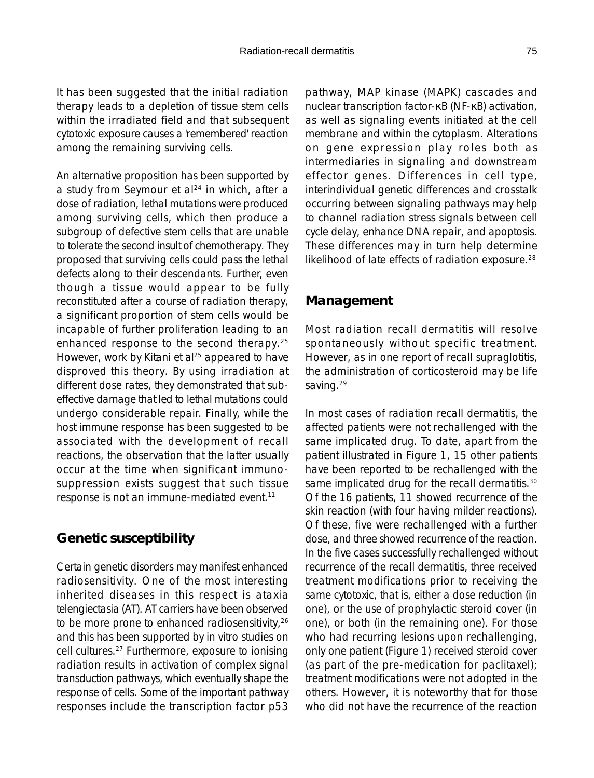It has been suggested that the initial radiation therapy leads to a depletion of tissue stem cells within the irradiated field and that subsequent cytotoxic exposure causes a 'remembered' reaction among the remaining surviving cells.

An alternative proposition has been supported by a study from Seymour et al<sup>24</sup> in which, after a dose of radiation, lethal mutations were produced among surviving cells, which then produce a subgroup of defective stem cells that are unable to tolerate the second insult of chemotherapy. They proposed that surviving cells could pass the lethal defects along to their descendants. Further, even though a tissue would appear to be fully reconstituted after a course of radiation therapy, a significant proportion of stem cells would be incapable of further proliferation leading to an enhanced response to the second therapy.<sup>25</sup> However, work by Kitani et al<sup>25</sup> appeared to have disproved this theory. By using irradiation at different dose rates, they demonstrated that subeffective damage that led to lethal mutations could undergo considerable repair. Finally, while the host immune response has been suggested to be associated with the development of recall reactions, the observation that the latter usually occur at the time when significant immunosuppression exists suggest that such tissue response is not an immune-mediated event.11

# **Genetic susceptibility**

Certain genetic disorders may manifest enhanced radiosensitivity. One of the most interesting inherited diseases in this respect is ataxia telengiectasia (AT). AT carriers have been observed to be more prone to enhanced radiosensitivity, 26 and this has been supported by in vitro studies on cell cultures.27 Furthermore, exposure to ionising radiation results in activation of complex signal transduction pathways, which eventually shape the response of cells. Some of the important pathway responses include the transcription factor p53 pathway, MAP kinase (MAPK) cascades and nuclear transcription factor-κB (NF-κB) activation, as well as signaling events initiated at the cell membrane and within the cytoplasm. Alterations on gene expression play roles both as intermediaries in signaling and downstream effector genes. Differences in cell type, interindividual genetic differences and crosstalk occurring between signaling pathways may help to channel radiation stress signals between cell cycle delay, enhance DNA repair, and apoptosis. These differences may in turn help determine likelihood of late effects of radiation exposure.<sup>28</sup>

### **Management**

Most radiation recall dermatitis will resolve spontaneously without specific treatment. However, as in one report of recall supraglotitis, the administration of corticosteroid may be life saving.<sup>29</sup>

In most cases of radiation recall dermatitis, the affected patients were not rechallenged with the same implicated drug. To date, apart from the patient illustrated in Figure 1, 15 other patients have been reported to be rechallenged with the same implicated drug for the recall dermatitis.<sup>30</sup> Of the 16 patients, 11 showed recurrence of the skin reaction (with four having milder reactions). Of these, five were rechallenged with a further dose, and three showed recurrence of the reaction. In the five cases successfully rechallenged without recurrence of the recall dermatitis, three received treatment modifications prior to receiving the same cytotoxic, that is, either a dose reduction (in one), or the use of prophylactic steroid cover (in one), or both (in the remaining one). For those who had recurring lesions upon rechallenging, only one patient (Figure 1) received steroid cover (as part of the pre-medication for paclitaxel); treatment modifications were not adopted in the others. However, it is noteworthy that for those who did not have the recurrence of the reaction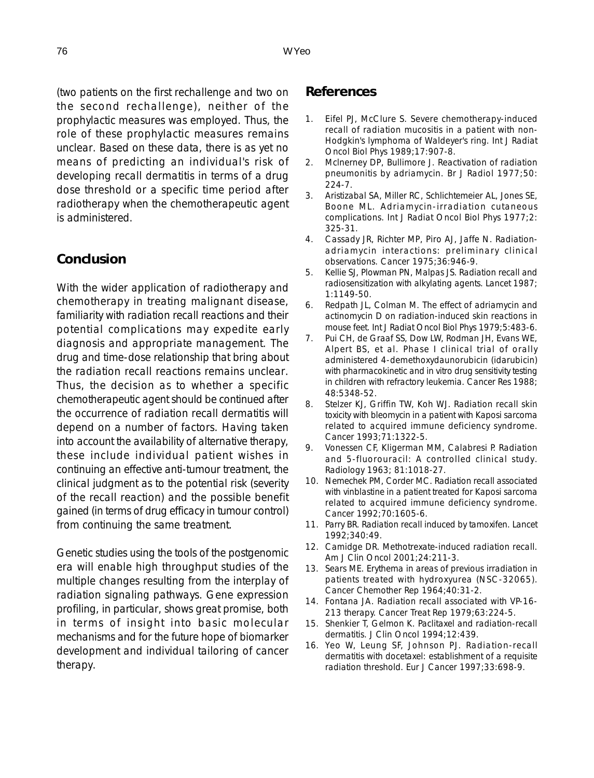(two patients on the first rechallenge and two on the second rechallenge), neither of the prophylactic measures was employed. Thus, the role of these prophylactic measures remains unclear. Based on these data, there is as yet no means of predicting an individual's risk of developing recall dermatitis in terms of a drug dose threshold or a specific time period after radiotherapy when the chemotherapeutic agent is administered.

#### **Conclusion**

With the wider application of radiotherapy and chemotherapy in treating malignant disease, familiarity with radiation recall reactions and their potential complications may expedite early diagnosis and appropriate management. The drug and time-dose relationship that bring about the radiation recall reactions remains unclear. Thus, the decision as to whether a specific chemotherapeutic agent should be continued after the occurrence of radiation recall dermatitis will depend on a number of factors. Having taken into account the availability of alternative therapy, these include individual patient wishes in continuing an effective anti-tumour treatment, the clinical judgment as to the potential risk (severity of the recall reaction) and the possible benefit gained (in terms of drug efficacy in tumour control) from continuing the same treatment.

Genetic studies using the tools of the postgenomic era will enable high throughput studies of the multiple changes resulting from the interplay of radiation signaling pathways. Gene expression profiling, in particular, shows great promise, both in terms of insight into basic molecular mechanisms and for the future hope of biomarker development and individual tailoring of cancer therapy.

#### **References**

- 1. Eifel PJ, McClure S. Severe chemotherapy-induced recall of radiation mucositis in a patient with non-Hodgkin's lymphoma of Waldeyer's ring. Int J Radiat Oncol Biol Phys 1989;17:907-8.
- 2. Mclnerney DP, Bullimore J. Reactivation of radiation pneumonitis by adriamycin. Br J Radiol 1977;50: 224-7.
- 3. Aristizabal SA, Miller RC, Schlichtemeier AL, Jones SE, Boone ML. Adriamycin-irradiation cutaneous complications. Int J Radiat Oncol Biol Phys 1977;2: 325-31.
- 4. Cassady JR, Richter MP, Piro AJ, Jaffe N. Radiationadriamycin interactions: preliminary clinical observations. Cancer 1975;36:946-9.
- 5. Kellie SJ, Plowman PN, Malpas JS. Radiation recall and radiosensitization with alkylating agents. Lancet 1987; 1:1149-50.
- 6. Redpath JL, Colman M. The effect of adriamycin and actinomycin D on radiation-induced skin reactions in mouse feet. Int J Radiat Oncol Biol Phys 1979;5:483-6.
- 7. Pui CH, de Graaf SS, Dow LW, Rodman JH, Evans WE, Alpert BS, et al. Phase I clinical trial of orally administered 4-demethoxydaunorubicin (idarubicin) with pharmacokinetic and in vitro drug sensitivity testing in children with refractory leukemia. Cancer Res 1988; 48:5348-52.
- 8. Stelzer KJ, Griffin TW, Koh WJ. Radiation recall skin toxicity with bleomycin in a patient with Kaposi sarcoma related to acquired immune deficiency syndrome. Cancer 1993;71:1322-5.
- 9. Vonessen CF, Kligerman MM, Calabresi P. Radiation and 5-fluorouracil: A controlled clinical study. Radiology 1963; 81:1018-27.
- 10. Nemechek PM, Corder MC. Radiation recall associated with vinblastine in a patient treated for Kaposi sarcoma related to acquired immune deficiency syndrome. Cancer 1992;70:1605-6.
- 11. Parry BR. Radiation recall induced by tamoxifen. Lancet 1992;340:49.
- 12. Camidge DR. Methotrexate-induced radiation recall. Am J Clin Oncol 2001;24:211-3.
- 13. Sears ME. Erythema in areas of previous irradiation in patients treated with hydroxyurea (NSC-32065). Cancer Chemother Rep 1964;40:31-2.
- 14. Fontana JA. Radiation recall associated with VP-16- 213 therapy. Cancer Treat Rep 1979;63:224-5.
- 15. Shenkier T, Gelmon K. Paclitaxel and radiation-recall dermatitis. J Clin Oncol 1994;12:439.
- 16. Yeo W, Leung SF, Johnson PJ. Radiation-recall dermatitis with docetaxel: establishment of a requisite radiation threshold. Eur J Cancer 1997;33:698-9.